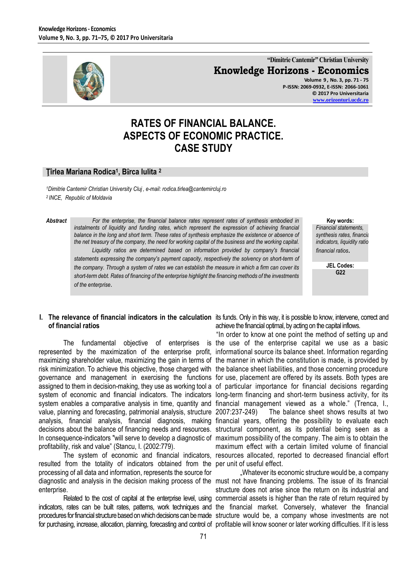

**"Dimitrie Cantemir" Christian University Knowledge Horizons - Economics**

**Volume 9 , No. 3, pp. 71 - 75 P-ISSN: 2069-0932, E-ISSN: 2066-1061 © 2017 Pro Universitaria [www.orizonturi.ucdc.ro](http://www.orizonturi.ucdc.ro/)**

# **RATES OF FINANCIAL BALANCE. ASPECTS OF ECONOMIC PRACTICE. CASE STUDY**

#### **Ţîrlea Mariana Rodica<sup>1</sup> , Bîrca Iulita <sup>2</sup>**

*<sup>1</sup>Dimitrie Cantemir Christian University Cluj , e-mail: rodica.tirlea@cantemircluj.ro <sup>2</sup>INCE, Republic of Moldavia* 

*Abstract For the enterprise, the financial balance rates represent rates of synthesis embodied in instalments of liquidity and funding rates, which represent the expression of achieving financial balance in the long and short term. These rates of synthesis emphasize the existence or absence of the net treasury of the company, the need for working capital of the business and the working capital. Liquidity ratios are determined based on information provided by company's financial statements expressing the company's payment capacity, respectively the solvency on short-term of the company. Through a system of rates we can establish the measure in which a firm can cover its short-term debt. Rates of financing of the enterprise highlight the financing methods of the investments of the enterprise*.

**Key words:**

*Financial statements,*  $synthesis$  *rates, financial*  $indicates, liquidity ratio$ *financial ratios*.

> **JEL Codes: G22**

# **of financial ratios**

represented by the maximization of the enterprise profit, informational source its balance sheet. Information regarding maximizing shareholder value, maximizing the gain in terms of the manner in which the constitution is made, is provided by risk minimization. To achieve this objective, those charged with the balance sheet liabilities, and those concerning procedure governance and management in exercising the functions for use, placement are offered by its assets. Both types are assigned to them in decision-making, they use as working tool a of particular importance for financial decisions regarding system of economic and financial indicators. The indicators long-term financing and short-term business activity, for its value, planning and forecasting, patrimonial analysis, structure 2007:237-249) analysis, financial analysis, financial diagnosis, making financial years, offering the possibility to evaluate each decisions about the balance of financing needs and resources. structural component, as its potential being seen as a In consequence-indicators "will serve to develop a diagnostic of maximum possibility of the company. The aim is to obtain the profitability, risk and value" (Stancu, I. (2002:779).

resulted from the totality of indicators obtained from the per unit of useful effect*.* processing of all data and information, represents the source for enterprise.

**I.** The relevance of financial indicators in the calculation its funds. Only in this way, it is possible to know, intervene, correct and achieve the financial optimal, by acting on the capital inflows.

The fundamental objective of enterprises is the use of the enterprise capital we use as a basic system enables a comparative analysis in time, quantity and financial management viewed as a whole." (Trenca, I., The system of economic and financial indicators, resources allocated, reported to decreased financial effort "In order to know at one point the method of setting up and The balance sheet shows results at two maximum effect with a certain limited volume of financial

diagnostic and analysis in the decision making process of the must not have financing problems. The issue of its financial Related to the cost of capital at the enterprise level, using commercial assets is higher than the rate of return required by indicators, rates can be built rates, pattems, work techniques and the financial market. Conversely, whatever the financial procedures for financial structure based on which decisions can be made structure would be, a company whose investments are not for purchasing, increase, allocation, planning, forecasting and control of profitable will know sooner or later working difficulties. If it is less "Whatever its economic structure would be, a company structure does not arise since the return on its industrial and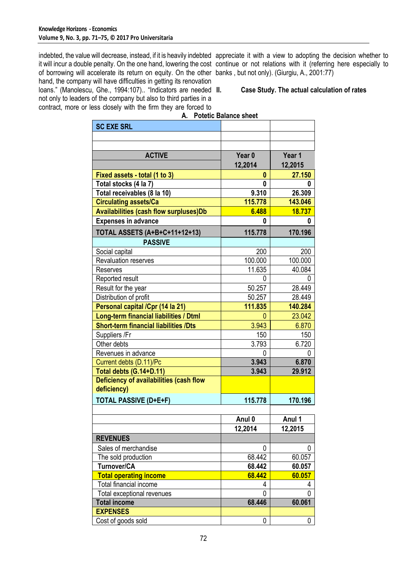indebted, the value will decrease, instead, if it is heavily indebted appreciate it with a view to adopting the decision whether to it will incur a double penalty. On the one hand, lowering the cost continue or not relations with it (referring here especially to of borrowing will accelerate its return on equity. On the other banks , but not only). (Giurgiu, A., 2001:77) hand, the company will have difficulties in getting its renovation loans." (Manolescu, Ghe., 1994:107).. "Indicators are needed II. not only to leaders of the company but also to third parties in a

contract, more or less closely with the firm they are forced to

#### **II. Case Study. The actual calculation of rates**

| А.                                                     | POIEUC Dalance sheet |                  |
|--------------------------------------------------------|----------------------|------------------|
| <b>SC EXE SRL</b>                                      |                      |                  |
|                                                        |                      |                  |
|                                                        |                      |                  |
| <b>ACTIVE</b>                                          | Year <sub>0</sub>    | Year 1           |
|                                                        | 12,2014              | 12,2015          |
| Fixed assets - total (1 to 3)                          | 0                    | 27.150           |
| Total stocks (4 la 7)                                  | 0                    | 0                |
| Total receivables (8 la 10)                            | 9.310                | 26.309           |
| <b>Circulating assets/Ca</b>                           | 115.778              | 143.046          |
| <b>Availabilities (cash flow surpluses)Db</b>          | 6.488                | 18.737           |
| <b>Expenses in advance</b>                             | 0                    | 0                |
|                                                        |                      |                  |
| <b>TOTAL ASSETS (A+B+C+11+12+13)</b>                   | 115.778              | 170.196          |
| <b>PASSIVE</b>                                         |                      |                  |
| Social capital                                         | 200                  | 200              |
| <b>Revaluation reserves</b>                            | 100.000              | 100.000          |
| Reserves                                               | 11.635               | 40.084           |
| Reported result                                        | 0                    | 0                |
| Result for the year                                    | 50.257               | 28.449           |
| Distribution of profit                                 | 50.257               | 28.449           |
| Personal capital /Cpr (14 la 21)                       | 111.835              | 140.284          |
| Long-term financial liabilities / Dtml                 | 0                    | 23.042           |
| <b>Short-term financial liabilities /Dts</b>           | 3.943                | 6.870            |
| Suppliers /Fr                                          | 150                  | 150              |
| Other debts                                            | 3.793                | 6.720            |
| Revenues in advance                                    | 0                    | 0                |
| Current debts (D.11)/Pc                                | 3.943                | 6.870            |
| Total debts (G.14+D.11)                                | 3.943                | 29.912           |
| Deficiency of availabilities (cash flow<br>deficiency) |                      |                  |
| <b>TOTAL PASSIVE (D+E+F)</b>                           | 115.778              | 170.196          |
|                                                        |                      |                  |
|                                                        | Anul 0               | Anul 1           |
|                                                        | 12,2014              | 12,2015          |
| <b>REVENUES</b>                                        |                      |                  |
| Sales of merchandise                                   | 0                    | 0                |
|                                                        |                      |                  |
| The sold production<br>Turnover/CA                     | 68.442               | 60.057           |
| <b>Total operating income</b>                          | 68.442<br>68.442     | 60.057<br>60.057 |
|                                                        |                      |                  |
| Total financial income                                 | 4<br>0               | 4<br>0           |
| Total exceptional revenues                             | 68.446               | 60.061           |
| <b>Total income</b><br><b>EXPENSES</b>                 |                      |                  |
|                                                        |                      |                  |
| Cost of goods sold                                     | 0                    | 0                |

# **A. Potetic Balance sheet**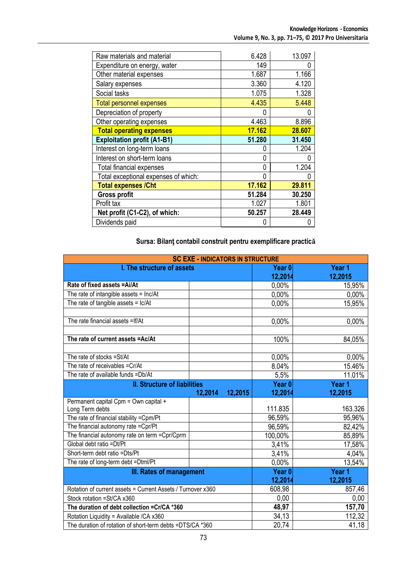| Raw materials and material           | 6.428  | 13.097 |
|--------------------------------------|--------|--------|
| Expenditure on energy, water         | 149    |        |
| Other material expenses              | 1.687  | 1.166  |
| Salary expenses                      | 3.360  | 4.120  |
| Social tasks                         | 1.075  | 1.328  |
| <b>Total personnel expenses</b>      | 4.435  | 5.448  |
| Depreciation of property             | 0      |        |
| Other operating expenses             | 4.463  | 8.896  |
| <b>Total operating expenses</b>      | 17.162 | 28.607 |
| <b>Exploitation profit (A1-B1)</b>   | 51.280 | 31.450 |
| Interest on long-term loans          | 0      | 1.204  |
| Interest on short-term loans         | 0      |        |
| <b>Total financial expenses</b>      | 0      | 1.204  |
| Total exceptional expenses of which: | 0      |        |
| <b>Total expenses / Cht</b>          | 17.162 | 29.811 |
| <b>Gross profit</b>                  | 51.284 | 30.250 |
| Profit tax                           | 1.027  | 1.801  |
| Net profit (C1-C2), of which:        | 50.257 | 28.449 |
| Dividends paid                       | 0      |        |

## **Sursa: Bilanţ contabil construit pentru exemplificare practicǎ**

| <b>SC EXE - INDICATORS IN STRUCTURE</b>                     |                    |                   |         |  |
|-------------------------------------------------------------|--------------------|-------------------|---------|--|
| I. The structure of assets                                  |                    | Year <sub>0</sub> | Year 1  |  |
|                                                             |                    | 12,2014           | 12,2015 |  |
| Rate of fixed assets = Ai/At                                |                    | 0,00%             | 15,95%  |  |
| The rate of intangible assets = lnc/At                      |                    | 0,00%             | 0,00%   |  |
| The rate of tangible $\overline{assets} = \overline{lc/At}$ |                    | 0.00%             | 15,95%  |  |
|                                                             |                    |                   |         |  |
| The rate financial assets = If/At                           |                    | 0,00%             | 0,00%   |  |
|                                                             |                    |                   |         |  |
| The rate of current assets =Ac/At                           |                    | 100%              | 84,05%  |  |
| The rate of stocks = St/At                                  |                    | 0,00%             | 0,00%   |  |
| The rate of receivables = Cr/At                             |                    | 8.04%             | 15.46%  |  |
| The rate of available funds =Db/At                          |                    | 5,5%              | 11.01%  |  |
| <b>II. Structure of liabilities</b>                         |                    | Year <sub>0</sub> | Year 1  |  |
|                                                             | 12,2015<br>12,2014 | 12,2014           | 12,2015 |  |
| Permanent capital Cpm = Own capital +                       |                    |                   |         |  |
| Long Term debts                                             |                    | 111.835           | 163.326 |  |
| The rate of financial stability =Cpm/Pt                     |                    | 96,59%            | 95,96%  |  |
| The financial autonomy rate = Cpr/Pt                        |                    | 96,59%            | 82,42%  |  |
| The financial autonomy rate on term = Cpr/Cprm              |                    | 100,00%           | 85,89%  |  |
| Global debt ratio =Dt/Pt                                    |                    | 3,41%             | 17,58%  |  |
| Short-term debt ratio =Dts/Pt                               |                    | 3,41%             | 4,04%   |  |
| The rate of long-term debt =Dtml/Pt                         |                    | 0,00%             | 13,54%  |  |
| III. Rates of management                                    |                    | Year <sub>0</sub> | Year 1  |  |
|                                                             |                    | 12,2014           | 12,2015 |  |
| Rotation of current assets = Current Assets / Turnover x360 |                    | 608,98            | 857,46  |  |
| Stock rotation = St/CA x360                                 |                    | 0,00              | 0,00    |  |
| The duration of debt collection = Cr/CA *360                |                    | 48,97             | 157,70  |  |
| Rotation Liquidity = Available /CA x360                     |                    | 34,13             | 112,32  |  |
| The duration of rotation of short-term debts =DTS/CA *360   |                    | 20,74             | 41,18   |  |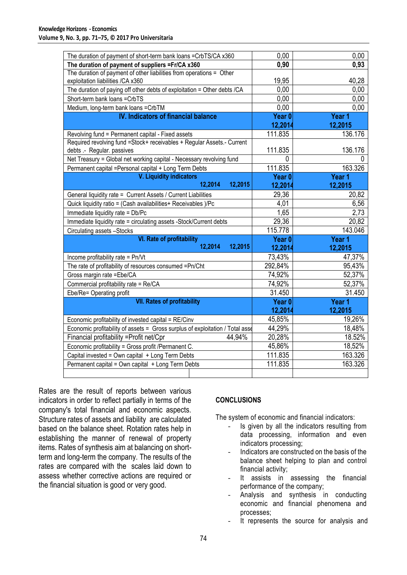| The duration of payment of short-term bank loans = CrbTS/CA x360                                            | 0.00              | 0,00    |
|-------------------------------------------------------------------------------------------------------------|-------------------|---------|
| The duration of payment of suppliers = Fr/CA x360                                                           | 0,90              | 0,93    |
| The duration of payment of other liabilities from operations = Other<br>exploitation liabilities / CA x 360 | 19,95             | 40,28   |
| The duration of paying off other debts of exploitation = Other debts /CA                                    | 0,00              | 0,00    |
| Short-term bank loans = CrbTS                                                                               | 0,00              | 0,00    |
| Medium, long-term bank loans = CrbTM                                                                        | 0,00              | 0.00    |
| <b>IV. Indicators of financial balance</b>                                                                  | Year <sub>0</sub> | Year 1  |
|                                                                                                             | 12,2014           | 12,2015 |
| Revolving fund = Permanent capital - Fixed assets                                                           | 111.835           | 136.176 |
| Required revolving fund =Stock+ receivables + Regular Assets.- Current                                      |                   |         |
| debts .- Regular. passives                                                                                  | 111.835           | 136.176 |
| Net Treasury = Global net working capital - Necessary revolving fund                                        | 0                 |         |
| Permanent capital = Personal capital + Long Term Debts                                                      | 111.835           | 163.326 |
| V. Liquidity indicators                                                                                     | Year <sub>0</sub> | Year 1  |
| 12,2015<br>12,2014                                                                                          | 12,2014           | 12,2015 |
| General liquidity rate = Current Assets / Current Liabilities                                               | 29,36             | 20,82   |
| Quick liquidity ratio = (Cash availabilities+ Receivables )/Pc                                              | 4,01              | 6,56    |
| Immediate liquidity rate = Db/Pc                                                                            | 1,65              | 2,73    |
| Immediate liquidity rate = circulating assets -Stock/Current debts                                          | 29,36             | 20,82   |
| Circulating assets -Stocks                                                                                  | 115.778           | 143.046 |
| <b>VI. Rate of profitability</b>                                                                            | Year <sub>0</sub> | Year 1  |
| 12,2014<br>12,2015                                                                                          | 12,2014           | 12,2015 |
| Income profitability rate = Pn/Vt                                                                           | 73,43%            | 47,37%  |
| The rate of profitability of resources consumed =Pn/Cht                                                     | 292,84%           | 95,43%  |
| Gross margin rate = Ebe/CA                                                                                  | 74,92%            | 52,37%  |
| Commercial profitability rate = Re/CA                                                                       | 74,92%            | 52,37%  |
| Ebe/Re= Operating profit                                                                                    | 31.450            | 31.450  |
| <b>VII. Rates of profitability</b>                                                                          | Year <sub>0</sub> | Year 1  |
|                                                                                                             | 12,2014           | 12,2015 |
| Economic profitability of invested capital = RE/Cinv                                                        | 45,85%            | 19,26%  |
| Economic profitability of assets = Gross surplus of exploitation / Total asset                              | 44,29%            | 18,48%  |
| Financial profitability = Profit net/Cpr<br>44,94%                                                          | 20,28%            | 18.52%  |
| Economic profitability = Gross profit /Permanent C.                                                         | 45,86%            | 18,52%  |
| Capital invested = Own capital + Long Term Debts                                                            | 111.835           | 163.326 |
| Permanent capital = Own capital + Long Term Debts                                                           | 111.835           | 163.326 |
|                                                                                                             |                   |         |

Rates are the result of reports between various indicators in order to reflect partially in terms of the company's total financial and economic aspects. Structure rates of assets and liability are calculated based on the balance sheet. Rotation rates help in establishing the manner of renewal of property items. Rates of synthesis aim at balancing on shortterm and long-term the company. The results of the rates are compared with the scales laid down to assess whether corrective actions are required or the financial situation is good or very good.

### **CONCLUSIONS**

The system of economic and financial indicators:

- Is given by all the indicators resulting from data processing, information and even indicators processing;
- Indicators are constructed on the basis of the balance sheet helping to plan and control financial activity;
- It assists in assessing the financial performance of the company;
- Analysis and synthesis in conducting economic and financial phenomena and processes;
- It represents the source for analysis and